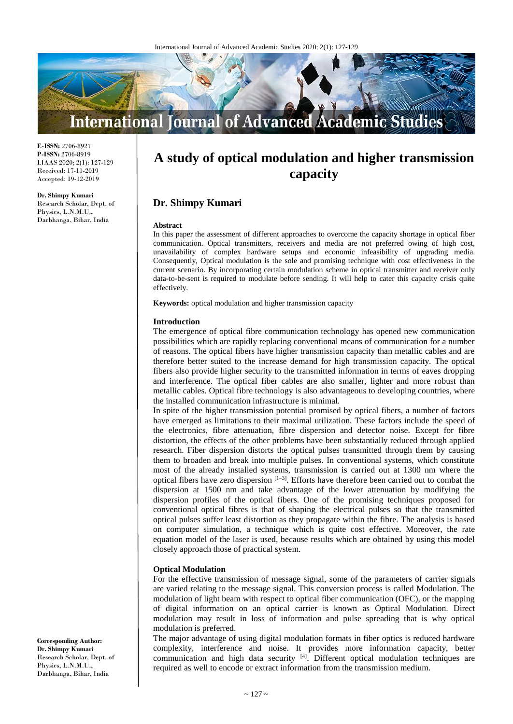

**E-ISSN:** 2706-8927 **P-ISSN:** 2706-8919 IJAAS 2020; 2(1): 127-129 Received: 17-11-2019 Accepted: 19-12-2019

**Dr. Shimpy Kumari** Research Scholar, Dept. of Physics, L.N.M.U., Darbhanga, Bihar, India

# **A study of optical modulation and higher transmission capacity**

## **Dr. Shimpy Kumari**

#### **Abstract**

In this paper the assessment of different approaches to overcome the capacity shortage in optical fiber communication. Optical transmitters, receivers and media are not preferred owing of high cost, unavailability of complex hardware setups and economic infeasibility of upgrading media. Consequently, Optical modulation is the sole and promising technique with cost effectiveness in the current scenario. By incorporating certain modulation scheme in optical transmitter and receiver only data-to-be-sent is required to modulate before sending. It will help to cater this capacity crisis quite effectively.

**Keywords:** optical modulation and higher transmission capacity

#### **Introduction**

The emergence of optical fibre communication technology has opened new communication possibilities which are rapidly replacing conventional means of communication for a number of reasons. The optical fibers have higher transmission capacity than metallic cables and are therefore better suited to the increase demand for high transmission capacity. The optical fibers also provide higher security to the transmitted information in terms of eaves dropping and interference. The optical fiber cables are also smaller, lighter and more robust than metallic cables. Optical fibre technology is also advantageous to developing countries, where the installed communication infrastructure is minimal.

In spite of the higher transmission potential promised by optical fibers, a number of factors have emerged as limitations to their maximal utilization. These factors include the speed of the electronics, fibre attenuation, fibre dispersion and detector noise. Except for fibre distortion, the effects of the other problems have been substantially reduced through applied research. Fiber dispersion distorts the optical pulses transmitted through them by causing them to broaden and break into multiple pulses. In conventional systems, which constitute most of the already installed systems, transmission is carried out at 1300 nm where the optical fibers have zero dispersion  $[1-3]$ . Efforts have therefore been carried out to combat the dispersion at 1500 nm and take advantage of the lower attenuation by modifying the dispersion profiles of the optical fibers. One of the promising techniques proposed for conventional optical fibres is that of shaping the electrical pulses so that the transmitted optical pulses suffer least distortion as they propagate within the fibre. The analysis is based on computer simulation, a technique which is quite cost effective. Moreover, the rate equation model of the laser is used, because results which are obtained by using this model closely approach those of practical system.

## **Optical Modulation**

For the effective transmission of message signal, some of the parameters of carrier signals are varied relating to the message signal. This conversion process is called Modulation. The modulation of light beam with respect to optical fiber communication (OFC), or the mapping of digital information on an optical carrier is known as Optical Modulation. Direct modulation may result in loss of information and pulse spreading that is why optical modulation is preferred.

The major advantage of using digital modulation formats in fiber optics is reduced hardware complexity, interference and noise. It provides more information capacity, better communication and high data security [4]. Different optical modulation techniques are required as well to encode or extract information from the transmission medium.

**Corresponding Author: Dr. Shimpy Kumari** Research Scholar, Dept. of Physics, L.N.M.U., Darbhanga, Bihar, India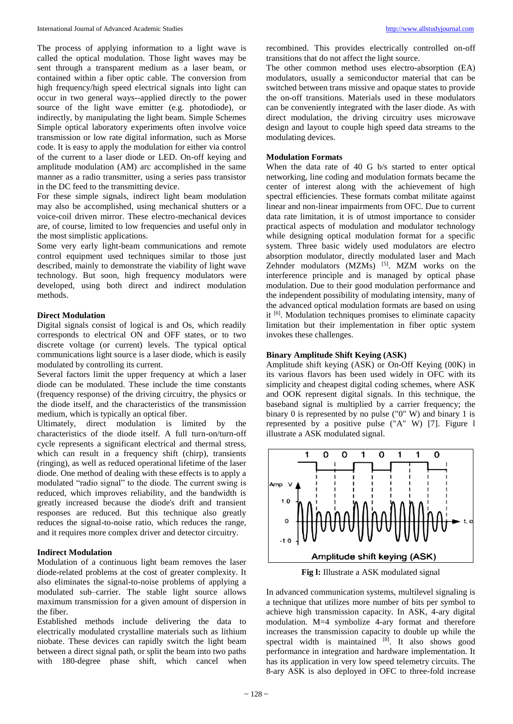The process of applying information to a light wave is called the optical modulation. Those light waves may be sent through a transparent medium as a laser beam, or contained within a fiber optic cable. The conversion from high frequency/high speed electrical signals into light can occur in two general ways--applied directly to the power source of the light wave emitter (e.g. photodiode), or indirectly, by manipulating the light beam. Simple Schemes Simple optical laboratory experiments often involve voice transmission or low rate digital information, such as Morse code. It is easy to apply the modulation for either via control of the current to a laser diode or LED. On-off keying and amplitude modulation (AM) arc accomplished in the same manner as a radio transmitter, using a series pass transistor in the DC feed to the transmitting device.

For these simple signals, indirect light beam modulation may also be accomplished, using mechanical shutters or a voice-coil driven mirror. These electro-mechanical devices are, of course, limited to low frequencies and useful only in the most simplistic applications.

Some very early light-beam communications and remote control equipment used techniques similar to those just described, mainly to demonstrate the viability of light wave technology. But soon, high frequency modulators were developed, using both direct and indirect modulation methods.

## **Direct Modulation**

Digital signals consist of logical is and Os, which readily corresponds to electrical ON and OFF states, or to two discrete voltage (or current) levels. The typical optical communications light source is a laser diode, which is easily modulated by controlling its current.

Several factors limit the upper frequency at which a laser diode can be modulated. These include the time constants (frequency response) of the driving circuitry, the physics or the diode itself, and the characteristics of the transmission medium, which is typically an optical fiber.

Ultimately, direct modulation is limited by the characteristics of the diode itself. A full turn-on/turn-off cycle represents a significant electrical and thermal stress, which can result in a frequency shift (chirp), transients (ringing), as well as reduced operational lifetime of the laser diode. One method of dealing with these effects is to apply a modulated "radio signal" to the diode. The current swing is reduced, which improves reliability, and the bandwidth is greatly increased because the diode's drift and transient responses are reduced. But this technique also greatly reduces the signal-to-noise ratio, which reduces the range, and it requires more complex driver and detector circuitry.

#### **Indirect Modulation**

Modulation of a continuous light beam removes the laser diode-related problems at the cost of greater complexity. It also eliminates the signal-to-noise problems of applying a modulated sub–carrier. The stable light source allows maximum transmission for a given amount of dispersion in the fiber.

Established methods include delivering the data to electrically modulated crystalline materials such as lithium niobate. These devices can rapidly switch the light beam between a direct signal path, or split the beam into two paths with 180-degree phase shift, which cancel when

recombined. This provides electrically controlled on-off transitions that do not affect the light source.

The other common method uses electro-absorption (EA) modulators, usually a semiconductor material that can be switched between trans missive and opaque states to provide the on-off transitions. Materials used in these modulators can be conveniently integrated with the laser diode. As with direct modulation, the driving circuitry uses microwave design and layout to couple high speed data streams to the modulating devices.

## **Modulation Formats**

When the data rate of 40 G b/s started to enter optical networking, line coding and modulation formats became the center of interest along with the achievement of high spectral efficiencies. These formats combat militate against linear and non-linear impairments from OFC. Due to current data rate limitation, it is of utmost importance to consider practical aspects of modulation and modulator technology while designing optical modulation format for a specific system. Three basic widely used modulators are electro absorption modulator, directly modulated laser and Mach Zehnder modulators (MZMs) [5]. MZM works on the interference principle and is managed by optical phase modulation. Due to their good modulation performance and the independent possibility of modulating intensity, many of the advanced optical modulation formats are based on using it [6]. Modulation techniques promises to eliminate capacity limitation but their implementation in fiber optic system invokes these challenges.

## **Binary Amplitude Shift Keying (ASK)**

Amplitude shift keying (ASK) or On-Off Keying (00K) in its various flavors has been used widely in OFC with its simplicity and cheapest digital coding schemes, where ASK and OOK represent digital signals. In this technique, the baseband signal is multiplied by a carrier frequency; the binary 0 is represented by no pulse ("0" W) and binary 1 is represented by a positive pulse ("A" W) [7]. Figure l illustrate a ASK modulated signal.



**Fig l:** Illustrate a ASK modulated signal

In advanced communication systems, multilevel signaling is a technique that utilizes more number of bits per symbol to achieve high transmission capacity. In ASK, 4-ary digital modulation. M=4 symbolize 4-ary format and therefore increases the transmission capacity to double up while the spectral width is maintained  $^{[8]}$ . It also shows good performance in integration and hardware implementation. It has its application in very low speed telemetry circuits. The 8-ary ASK is also deployed in OFC to three-fold increase